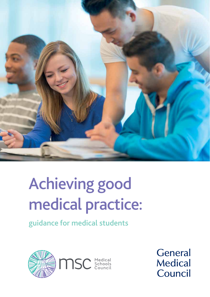

# Achieving good medical practice:

guidance for medical students



General **Medical** Council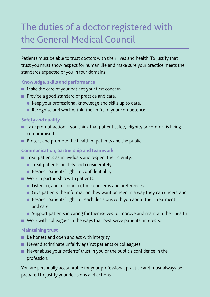# The duties of a doctor registered with the General Medical Council

Patients must be able to trust doctors with their lives and health. To justify that trust you must show respect for human life and make sure your practice meets the standards expected of you in four domains.

#### **Knowledge, skills and performance**

- $\blacksquare$  Make the care of your patient your first concern.
- **Provide a good standard of practice and care.** 
	- **.** Keep your professional knowledge and skills up to date.
	- $\bullet$  Recognise and work within the limits of your competence.

#### **Safety and quality**

- $\blacksquare$  Take prompt action if you think that patient safety, dignity or comfort is being compromised.
- **n** Protect and promote the health of patients and the public.

#### **Communication, partnership and teamwork**

- $\blacksquare$  Treat patients as individuals and respect their dignity.
	- $\bullet$  Treat patients politely and considerately.
	- **Respect patients' right to confidentiality.**
- $\blacksquare$  Work in partnership with patients.
	- **.** Listen to, and respond to, their concerns and preferences.
	- **•** Give patients the information they want or need in a way they can understand.
	- Respect patients' right to reach decisions with you about their treatment and care.
	- Support patients in caring for themselves to improve and maintain their health.
- $\blacksquare$  Work with colleagues in the ways that best serve patients' interests.

#### **Maintaining trust**

- $\blacksquare$  Be honest and open and act with integrity.
- Never discriminate unfairly against patients or colleagues.
- **Never abuse your patients' trust in you or the public's confidence in the** profession.

You are personally accountable for your professional practice and must always be prepared to justify your decisions and actions.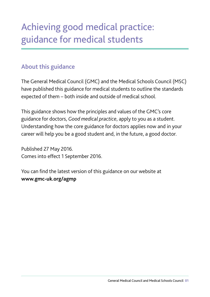# Achieving good medical practice: guidance for medical students

## About this guidance

The General Medical Council (GMC) and the Medical Schools Council (MSC) have published this guidance for medical students to outline the standards expected of them – both inside and outside of medical school.

This guidance shows how the principles and values of the GMC's core guidance for doctors, *Good medical practice*, apply to you as a student. Understanding how the core guidance for doctors applies now and in your career will help you be a good student and, in the future, a good doctor.

Published 27 May 2016. Comes into effect 1 September 2016.

You can find the latest version of this guidance on our website at **<www.gmc-uk.org/agmp>**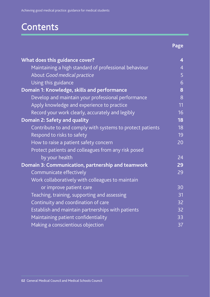# **Contents**

**Page** 

| What does this guidance cover?                            | $\overline{\mathbf{4}}$ |
|-----------------------------------------------------------|-------------------------|
| Maintaining a high standard of professional behaviour     | $\overline{4}$          |
| About Good medical practice                               | 5                       |
| Using this guidance                                       | 6                       |
| Domain 1: Knowledge, skills and performance               | 8                       |
| Develop and maintain your professional performance        | 8                       |
| Apply knowledge and experience to practice                | 11                      |
| Record your work clearly, accurately and legibly          | 16                      |
| Domain 2: Safety and quality                              | 18                      |
| Contribute to and comply with systems to protect patients | 18                      |
| Respond to risks to safety                                | 19                      |
| How to raise a patient safety concern                     | 20                      |
| Protect patients and colleagues from any risk posed       |                         |
| by your health                                            | 24                      |
| Domain 3: Communication, partnership and teamwork         | 29                      |
| Communicate effectively                                   | 29                      |
| Work collaboratively with colleagues to maintain          |                         |
| or improve patient care                                   | 30                      |
| Teaching, training, supporting and assessing              | 31                      |
| Continuity and coordination of care                       | $\overline{32}$         |
| Establish and maintain partnerships with patients         | 32                      |
| Maintaining patient confidentiality                       | 33                      |
| Making a conscientious objection                          | 37                      |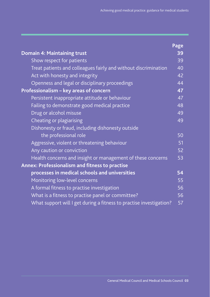|                                                                     | Page |
|---------------------------------------------------------------------|------|
| <b>Domain 4: Maintaining trust</b>                                  | 39   |
| Show respect for patients                                           | 39   |
| Treat patients and colleagues fairly and without discrimination     | 40   |
| Act with honesty and integrity                                      | 42   |
| Openness and legal or disciplinary proceedings                      | 44   |
| Professionalism - key areas of concern                              | 47   |
| Persistent inappropriate attitude or behaviour                      | 47   |
| Failing to demonstrate good medical practice                        | 48   |
| Drug or alcohol misuse                                              | 49   |
| Cheating or plagiarising                                            | 49   |
| Dishonesty or fraud, including dishonesty outside                   |      |
| the professional role                                               | 50   |
| Aggressive, violent or threatening behaviour                        | 51   |
| Any caution or conviction                                           | 52   |
| Health concerns and insight or management of these concerns         | 53   |
| Annex: Professionalism and fitness to practise                      |      |
| processes in medical schools and universities                       | 54   |
| Monitoring low-level concerns                                       | 55   |
| A formal fitness to practise investigation                          | 56   |
| What is a fitness to practise panel or committee?                   | 56   |
| What support will I get during a fitness to practise investigation? | 57   |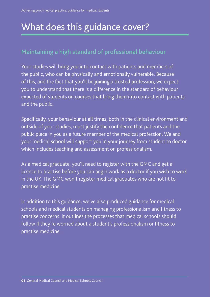# What does this guidance cover?

#### Maintaining a high standard of professional behaviour

Your studies will bring you into contact with patients and members of the public, who can be physically and emotionally vulnerable. Because of this, and the fact that you'll be joining a trusted profession, we expect you to understand that there is a difference in the standard of behaviour expected of students on courses that bring them into contact with patients and the public.

Specifically, your behaviour at all times, both in the clinical environment and outside of your studies, must justify the confidence that patients and the public place in you as a future member of the medical profession. We and your medical school will support you in your journey from student to doctor, which includes teaching and assessment on professionalism.

As a medical graduate, you'll need to register with the GMC and get a licence to practise before you can begin work as a doctor if you wish to work in the UK. The GMC won't register medical graduates who are not fit to practise medicine.

In addition to this guidance, we've also produced guidance for medical schools and medical students on managing professionalism and fitness to practise concerns. It outlines the processes that medical schools should follow if they're worried about a student's professionalism or fitness to practise medicine.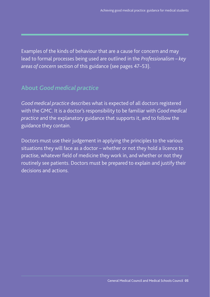Examples of the kinds of behaviour that are a cause for concern and may lead to formal processes being used are outlined in the *Professionalism – key areas of concern* section of this guidance (see pages 47–53).

#### About *Good medical practice*

*Good medical practice* describes what is expected of all doctors registered with the GMC. It is a doctor's responsibility to be familiar with *Good medical practice* and the explanatory guidance that supports it, and to follow the guidance they contain.

Doctors must use their judgement in applying the principles to the various situations they will face as a doctor – whether or not they hold a licence to practise, whatever field of medicine they work in, and whether or not they routinely see patients. Doctors must be prepared to explain and justify their decisions and actions.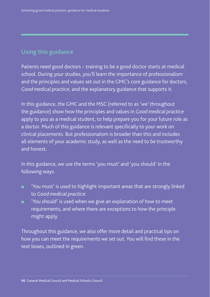### Using this guidance

Patients need good doctors – training to be a good doctor starts at medical school. During your studies, you'll learn the importance of professionalism and the principles and values set out in the GMC's core guidance for doctors, *Good medical practice*, and the explanatory guidance that supports it.

In this guidance, the GMC and the MSC (referred to as 'we' throughout the guidance) show how the principles and values in *Good medical practice*  apply to you as a medical student, to help prepare you for your future role as a doctor. Much of this guidance is relevant specifically to your work on clinical placements. But professionalism is broader than this and includes all elements of your academic study, as well as the need to be trustworthy and honest.

In this guidance, we use the terms 'you must' and 'you should' in the following ways.

- **n** 'You must' is used to highlight important areas that are strongly linked to *Good medical practice*.
- 'You should' is used when we give an explanation of how to meet requirements, and where there are exceptions to how the principle might apply.

Throughout this guidance, we also offer more detail and practical tips on how you can meet the requirements we set out. You will find these in the text boxes, outlined in green.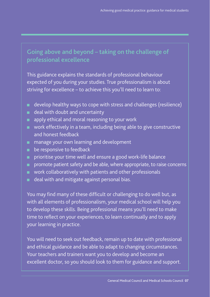## Going above and beyond – taking on the challenge of professional excellence

This guidance explains the standards of professional behaviour expected of you during your studies. True professionalism is about striving for excellence – to achieve this you'll need to learn to:

- $\blacksquare$  develop healthy ways to cope with stress and challenges (resilience)
- **n** deal with doubt and uncertainty
- m. apply ethical and moral reasoning to your work
- **n** work effectively in a team, including being able to give constructive and honest feedback
- **n** manage your own learning and development
- $\blacksquare$  be responsive to feedback
- n prioritise your time well and ensure a good work-life balance
- **n** promote patient safety and be able, where appropriate, to raise concerns
- $\Box$  work collaboratively with patients and other professionals
- deal with and mitigate against personal bias.

You may find many of these difficult or challenging to do well but, as with all elements of professionalism, your medical school will help you to develop these skills. Being professional means you'll need to make time to reflect on your experiences, to learn continually and to apply your learning in practice.

You will need to seek out feedback, remain up to date with professional and ethical guidance and be able to adapt to changing circumstances. Your teachers and trainers want you to develop and become an excellent doctor, so you should look to them for guidance and support.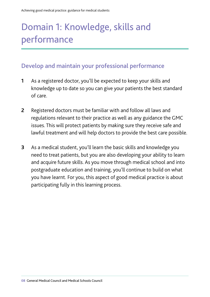# Domain 1: Knowledge, skills and performance

#### Develop and maintain your professional performance

- **1** As a registered doctor, you'll be expected to keep your skills and knowledge up to date so you can give your patients the best standard of care.
- **2** Registered doctors must be familiar with and follow all laws and regulations relevant to their practice as well as any guidance the GMC issues. This will protect patients by making sure they receive safe and lawful treatment and will help doctors to provide the best care possible.
- **3** As a medical student, you'll learn the basic skills and knowledge you need to treat patients, but you are also developing your ability to learn and acquire future skills. As you move through medical school and into postgraduate education and training, you'll continue to build on what you have learnt. For you, this aspect of good medical practice is about participating fully in this learning process.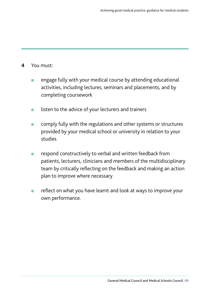- **4** You must:
	- **n** engage fully with your medical course by attending educational activities, including lectures, seminars and placements, and by completing coursework
	- **n** listen to the advice of your lecturers and trainers
	- **n** comply fully with the regulations and other systems or structures provided by your medical school or university in relation to your studies
	- **n** respond constructively to verbal and written feedback from patients, lecturers, clinicians and members of the multidisciplinary team by critically reflecting on the feedback and making an action plan to improve where necessary
	- reflect on what you have learnt and look at ways to improve your own performance.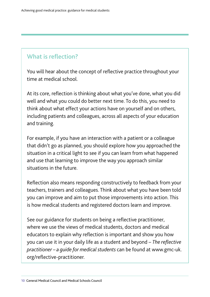#### What is reflection?

You will hear about the concept of reflective practice throughout your time at medical school.

At its core, reflection is thinking about what you've done, what you did well and what you could do better next time. To do this, you need to think about what effect your actions have on yourself and on others, including patients and colleagues, across all aspects of your education and training.

For example, if you have an interaction with a patient or a colleague that didn't go as planned, you should explore how you approached the situation in a critical light to see if you can learn from what happened and use that learning to improve the way you approach similar situations in the future.

Reflection also means responding constructively to feedback from your teachers, trainers and colleagues. Think about what you have been told you can improve and aim to put those improvements into action. This is how medical students and registered doctors learn and improve.

See our guidance for students on being a reflective practitioner, where we use the views of medical students, doctors and medical educators to explain why reflection is important and show you how you can use it in your daily life as a student and beyond – *[The refective](http://www.gmc-uk.org/reflective-practitioner)  [practitioner – a guide for medical students](http://www.gmc-uk.org/reflective-practitioner)* can be found at <www.gmc-uk>. org/refective-practitioner*.*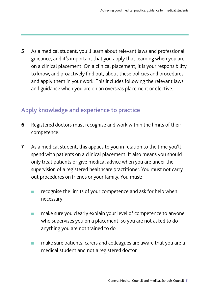**5** As a medical student, you'll learn about relevant laws and professional guidance, and it's important that you apply that learning when you are on a clinical placement. On a clinical placement, it is your responsibility to know, and proactively find out, about these policies and procedures and apply them in your work. This includes following the relevant laws and guidance when you are on an overseas placement or elective.

# Apply knowledge and experience to practice

- **6** Registered doctors must recognise and work within the limits of their competence.
- **7** As a medical student, this applies to you in relation to the time you'll spend with patients on a clinical placement. It also means you should only treat patients or give medical advice when you are under the supervision of a registered healthcare practitioner. You must not carry out procedures on friends or your family. You must:
	- **n** recognise the limits of your competence and ask for help when necessary
	- make sure you clearly explain your level of competence to anyone who supervises you on a placement, so you are not asked to do anything you are not trained to do
	- make sure patients, carers and colleagues are aware that you are a medical student and not a registered doctor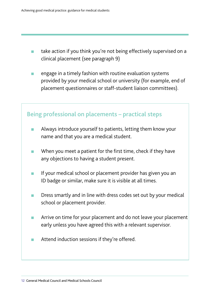- **n** take action if you think you're not being effectively supervised on a clinical placement (see paragraph 9)
- **n** engage in a timely fashion with routine evaluation systems provided by your medical school or university (for example, end of placement questionnaires or staff-student liaison committees).

#### Being professional on placements – practical steps

- **n** Always introduce yourself to patients, letting them know your name and that you are a medical student.
- When you meet a patient for the first time, check if they have any objections to having a student present.
- **n** If your medical school or placement provider has given you an ID badge or similar, make sure it is visible at all times.
- Dress smartly and in line with dress codes set out by your medical school or placement provider.
- Arrive on time for your placement and do not leave your placement early unless you have agreed this with a relevant supervisor.
- Attend induction sessions if they're offered.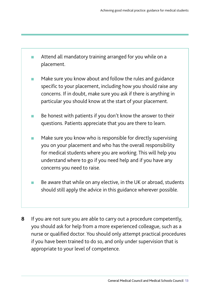**n** Attend all mandatory training arranged for you while on a placement.

- Make sure you know about and follow the rules and guidance specific to your placement, including how you should raise any concerns. If in doubt, make sure you ask if there is anything in particular you should know at the start of your placement.
- Be honest with patients if you don't know the answer to their questions. Patients appreciate that you are there to learn.
- **n** Make sure you know who is responsible for directly supervising you on your placement and who has the overall responsibility for medical students where you are working. This will help you understand where to go if you need help and if you have any concerns you need to raise.
- Be aware that while on any elective, in the UK or abroad, students should still apply the advice in this guidance wherever possible.
- **8**  If you are not sure you are able to carry out a procedure competently, you should ask for help from a more experienced colleague, such as a nurse or qualifed doctor. You should only attempt practical procedures if you have been trained to do so, and only under supervision that is appropriate to your level of competence.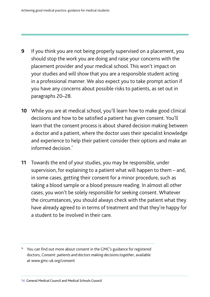- **9** If you think you are not being properly supervised on a placement, you should stop the work you are doing and raise your concerns with the placement provider and your medical school. This won't impact on your studies and will show that you are a responsible student acting in a professional manner. We also expect you to take prompt action if you have any concerns about possible risks to patients, as set out in paragraphs 20–28.
- informed decision.\* **10** While you are at medical school, you'll learn how to make good clinical decisions and how to be satisfied a patient has given consent. You'll learn that the consent process is about shared decision making between a doctor and a patient, where the doctor uses their specialist knowledge and experience to help their patient consider their options and make an
- **11** Towards the end of your studies, you may be responsible, under supervision, for explaining to a patient what will happen to them – and, in some cases, getting their consent for a minor procedure, such as taking a blood sample or a blood pressure reading. In almost all other cases, you won't be solely responsible for seeking consent. Whatever the circumstances, you should always check with the patient what they have already agreed to in terms of treatment and that they're happy for a student to be involved in their care.

<sup>\*</sup> You can fnd out more about consent in the GMC's guidance for registered doctors, *Consent: patients and doctors making decisions together*, available at [www.gmc-uk.org/consent](http://www.gmc-uk.org/consent)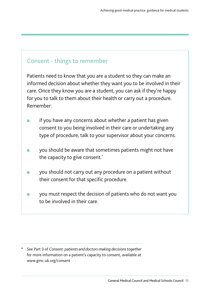### Consent - things to remember

Patients need to know that you are a student so they can make an informed decision about whether they want you to be involved in their care. Once they know you are a student, you can ask if they're happy for you to talk to them about their health or carry out a procedure. Remember:

- if you have any concerns about whether a patient has given consent to you being involved in their care or undertaking any type of procedure, talk to your supervisor about your concerns.
- **Co** you should be aware that sometimes patients might not have the capacity to give consent.\*
- you should not carry out any procedure on a patient without their consent for that specific procedure.
- **COL** you must respect the decision of patients who do not want you to be involved in their care.

 \* See Part 3 of *Consent: patients and doctors making decisions together* for more information on a patient's capacity to consent, available at <www.gmc-uk.org/consent>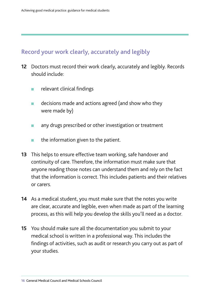## Record your work clearly, accurately and legibly

- **12** Doctors must record their work clearly, accurately and legibly. Records should include:
	- relevant clinical findings
	- $\blacksquare$  decisions made and actions agreed (and show who they were made by)
	- any drugs prescribed or other investigation or treatment
	- the information given to the patient.
- **13** This helps to ensure effective team working, safe handover and continuity of care. Therefore, the information must make sure that anyone reading those notes can understand them and rely on the fact that the information is correct. This includes patients and their relatives or carers.
- **14** As a medical student, you must make sure that the notes you write are clear, accurate and legible, even when made as part of the learning process, as this will help you develop the skills you'll need as a doctor.
- **15** You should make sure all the documentation you submit to your medical school is written in a professional way. This includes the fndings of activities, such as audit or research you carry out as part of your studies.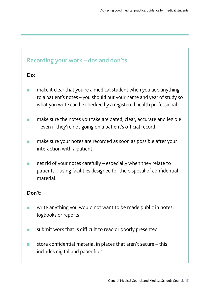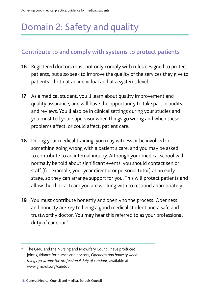# Domain 2: Safety and quality

### Contribute to and comply with systems to protect patients

- **16** Registered doctors must not only comply with rules designed to protect patients, but also seek to improve the quality of the services they give to patients – both at an individual and at a systems level.
- **17** As a medical student, you'll learn about quality improvement and quality assurance, and will have the opportunity to take part in audits and reviews. You'll also be in clinical settings during your studies and you must tell your supervisor when things go wrong and when these problems affect, or could affect, patient care.
- **18** During your medical training, you may witness or be involved in something going wrong with a patient's care, and you may be asked to contribute to an internal inquiry. Although your medical school will normally be told about significant events, you should contact senior staff (for example, your year director or personal tutor) at an early stage, so they can arrange support for you. This will protect patients and allow the clinical team you are working with to respond appropriately.
- **19** You must contribute honestly and openly to the process. Openness and honesty are key to being a good medical student and a safe and trustworthy doctor. You may hear this referred to as your professional duty of candour.<sup>\*</sup>
- \* The GMC and the Nursing and Midwifery Council have produced joint guidance for nurses and doctors, *Openness and honesty when things go wrong: the professional duty of candour*, available at [www.gmc-uk.org/candour](http://www.gmc-uk.org/guidance/ethical_guidance/27233.asp)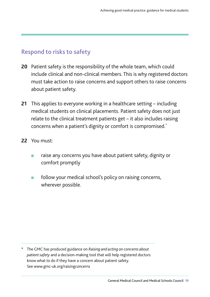#### Respond to risks to safety

- **20** Patient safety is the responsibility of the whole team, which could include clinical and non-clinical members. This is why registered doctors must take action to raise concerns and support others to raise concerns about patient safety.
- concerns when a patient's dignity or comfort is compromised.\* **21** This applies to everyone working in a healthcare setting – including medical students on clinical placements. Patient safety does not just relate to the clinical treatment patients get – it also includes raising
- **22** You must:
	- raise any concerns you have about patient safety, dignity or comfort promptly
	- $\blacksquare$  follow your medical school's policy on raising concerns, wherever possible.

\* The GMC has produced guidance on *[Raising and acting on concerns about](http://www.gmc-uk.org/raisingconcerns)  [patient safety](http://www.gmc-uk.org/raisingconcerns)* and a decision-making tool that will help registered doctors know what to do if they have a concern about patient safety. See [www.gmc-uk.org/raisingconcerns](http://www.gmc-uk.org/raisingconcerns)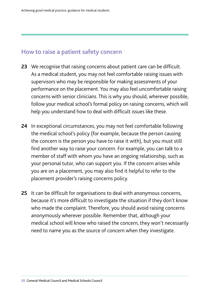#### How to raise a patient safety concern

- **23** We recognise that raising concerns about patient care can be difficult. As a medical student, you may not feel comfortable raising issues with supervisors who may be responsible for making assessments of your performance on the placement. You may also feel uncomfortable raising concerns with senior clinicians. This is why you should, wherever possible, follow your medical school's formal policy on raising concerns, which will help you understand how to deal with difficult issues like these.
- **24** In exceptional circumstances, you may not feel comfortable following the medical school's policy (for example, because the person causing the concern is the person you have to raise it with), but you must still find another way to raise your concern. For example, you can talk to a member of staff with whom you have an ongoing relationship, such as your personal tutor, who can support you. If the concern arises while you are on a placement, you may also find it helpful to refer to the placement provider's raising concerns policy.
- 25 It can be difficult for organisations to deal with anonymous concerns, because it's more difficult to investigate the situation if they don't know who made the complaint. Therefore, you should avoid raising concerns anonymously wherever possible. Remember that, although your medical school will know who raised the concern, they won't necessarily need to name you as the source of concern when they investigate.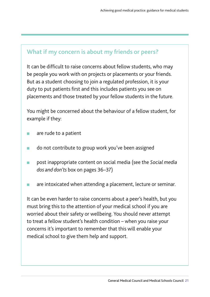#### What if my concern is about my friends or peers?

It can be difficult to raise concerns about fellow students, who may be people you work with on projects or placements or your friends. But as a student choosing to join a regulated profession, it is your duty to put patients first and this includes patients you see on placements and those treated by your fellow students in the future.

You might be concerned about the behaviour of a fellow student, for example if they:

- are rude to a patient
- **n** do not contribute to group work you've been assigned
- <sup>n</sup> post inappropriate content on social media (see the *Social media dos and don'ts* box on pages 36–37)
- **n** are intoxicated when attending a placement, lecture or seminar.

It can be even harder to raise concerns about a peer's health, but you must bring this to the attention of your medical school if you are worried about their safety or wellbeing. You should never attempt to treat a fellow student's health condition – when you raise your concerns it's important to remember that this will enable your medical school to give them help and support.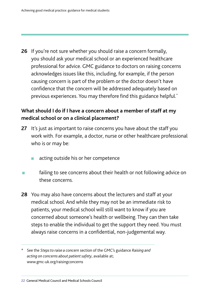**26** If you're not sure whether you should raise a concern formally, you should ask your medical school or an experienced healthcare professional for advice. GMC guidance to doctors on raising concerns acknowledges issues like this, including, for example, if the person causing concern is part of the problem or the doctor doesn't have confidence that the concern will be addressed adequately based on previous experiences. You may therefore find this guidance helpful.<sup>\*</sup>

#### **What should I do if I have a concern about a member of staff at my medical school or on a clinical placement?**

- **27** It's just as important to raise concerns you have about the staff you work with. For example, a doctor, nurse or other healthcare professional who is or may be:
	- acting outside his or her competence
- failing to see concerns about their health or not following advice on these concerns.
- **28** You may also have concerns about the lecturers and staff at your medical school. And while they may not be an immediate risk to patients, your medical school will still want to know if you are concerned about someone's health or wellbeing. They can then take steps to enable the individual to get the support they need. You must always raise concerns in a confdential, non-judgemental way.

\* See the *Steps to raise a concern* section of the GMC's guidance *[Raising and](http://www.gmc-uk.org/raisingconcerns)  [acting on concerns about patient safety](http://www.gmc-uk.org/raisingconcerns)*, available at; [www.gmc-uk.org/raisingconcerns](http://www.gmc-uk.org/raisingconcerns)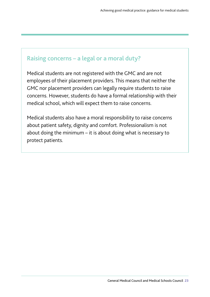#### Raising concerns – a legal or a moral duty?

Medical students are not registered with the GMC and are not employees of their placement providers. This means that neither the GMC nor placement providers can legally require students to raise concerns. However, students do have a formal relationship with their medical school, which will expect them to raise concerns.

Medical students also have a moral responsibility to raise concerns about patient safety, dignity and comfort. Professionalism is not about doing the minimum – it is about doing what is necessary to protect patients.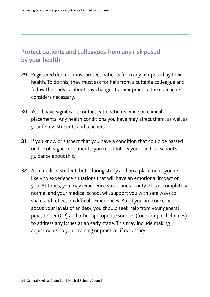# Protect patients and colleagues from any risk posed by your health

- **29** Registered doctors must protect patients from any risk posed by their health. To do this, they must ask for help from a suitable colleague and follow their advice about any changes to their practice the colleague considers necessary.
- **30** You'll have significant contact with patients while on clinical placements. Any health conditions you have may affect them, as well as your fellow students and teachers.
- **31** If you know or suspect that you have a condition that could be passed on to colleagues or patients, you must follow your medical school's guidance about this.
- **32** As a medical student, both during study and on a placement, you're likely to experience situations that will have an emotional impact on you. At times, you may experience stress and anxiety. This is completely normal and your medical school will support you with safe ways to share and reflect on difficult experiences. But if you are concerned about your levels of anxiety, you should seek help from your general practitioner (GP) and other appropriate sources (for example, helplines) to address any issues at an early stage. This may include making adjustments to your training or practice, if necessary.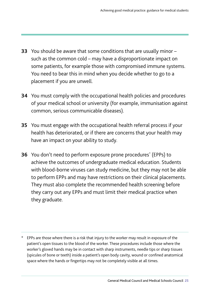- **33** You should be aware that some conditions that are usually minor such as the common cold – may have a disproportionate impact on some patients, for example those with compromised immune systems. You need to bear this in mind when you decide whether to go to a placement if you are unwell.
- **34** You must comply with the occupational health policies and procedures of your medical school or university (for example, immunisation against common, serious communicable diseases).
- **35** You must engage with the occupational health referral process if your health has deteriorated, or if there are concerns that your health may have an impact on your ability to study.
- **36** You don't need to perform exposure prone procedures\* (EPPs) to achieve the outcomes of undergraduate medical education. Students with blood-borne viruses can study medicine, but they may not be able to perform EPPs and may have restrictions on their clinical placements. They must also complete the recommended health screening before they carry out any EPPs and must limit their medical practice when they graduate.

EPPs are those where there is a risk that injury to the worker may result in exposure of the patient's open tissues to the blood of the worker. These procedures include those where the worker's gloved hands may be in contact with sharp instruments, needle tips or sharp tissues (spicules of bone or teeth) inside a patient's open body cavity, wound or confned anatomical space where the hands or fingertips may not be completely visible at all times.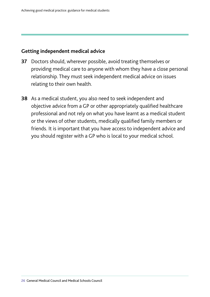#### **Getting independent medical advice**

- **37** Doctors should, wherever possible, avoid treating themselves or providing medical care to anyone with whom they have a close personal relationship. They must seek independent medical advice on issues relating to their own health.
- **38** As a medical student, you also need to seek independent and objective advice from a GP or other appropriately qualified healthcare professional and not rely on what you have learnt as a medical student or the views of other students, medically qualifed family members or friends. It is important that you have access to independent advice and you should register with a GP who is local to your medical school.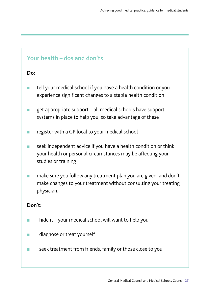# Your health – dos and don'ts **Do:**  tell your medical school if you have a health condition or you experience significant changes to a stable health condition  $\Box$  get appropriate support – all medical schools have support systems in place to help you, so take advantage of these **n** register with a GP local to your medical school **n** seek independent advice if you have a health condition or think your health or personal circumstances may be affecting your studies or training make sure you follow any treatment plan you are given, and don't make changes to your treatment without consulting your treating physician. **Don't:**   $\blacksquare$  hide it – your medical school will want to help you **n** diagnose or treat yourself **n** seek treatment from friends, family or those close to you.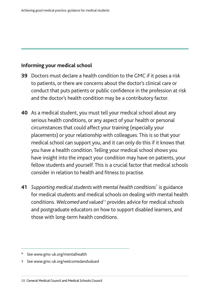#### **Informing your medical school**

- **39** Doctors must declare a health condition to the GMC if it poses a risk to patients, or there are concerns about the doctor's clinical care or conduct that puts patients or public confdence in the profession at risk and the doctor's health condition may be a contributory factor.
- **40** As a medical student, you must tell your medical school about any serious health conditions, or any aspect of your health or personal circumstances that could affect your training (especially your placements) or your relationship with colleagues. This is so that your medical school can support you, and it can only do this if it knows that you have a health condition. Telling your medical school shows you have insight into the impact your condition may have on patients, your fellow students and yourself. This is a crucial factor that medical schools consider in relation to health and fitness to practise.
- **41** *Supporting medical students with mental health conditions*\* is guidance for medical students and medical schools on dealing with mental health conditions. *Welcomed and valued* † provides advice for medical schools and postgraduate educators on how to support disabled learners, and those with long-term health conditions.

† See <www.gmc-uk.org/welcomedandvalued>

**28** General Medical Council and Medical Schools Council

See www.gmc-uk.org/mentalhealth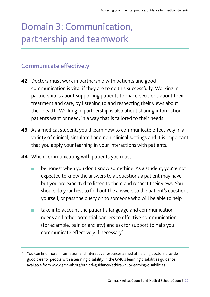# Domain 3: Communication, partnership and teamwork

# Communicate effectively

- **42** Doctors must work in partnership with patients and good communication is vital if they are to do this successfully. Working in partnership is about supporting patients to make decisions about their treatment and care, by listening to and respecting their views about their health. Working in partnership is also about sharing information patients want or need, in a way that is tailored to their needs.
- **43** As a medical student, you'll learn how to communicate effectively in a variety of clinical, simulated and non-clinical settings and it is important that you apply your learning in your interactions with patients.
- **44** When communicating with patients you must:
	- **n** be honest when you don't know something. As a student, you're not expected to know the answers to all questions a patient may have, but you are expected to listen to them and respect their views. You should do your best to find out the answers to the patient's questions yourself, or pass the query on to someone who will be able to help
	- $\blacksquare$  take into account the patient's language and communication needs and other potential barriers to effective communication (for example, pain or anxiety) and ask for support to help you communicate effectively if necessary\*

You can find more information and interactive resources aimed at helping doctors provide good care for people with a learning disability in the GMC's [learning disabilities guidance,](http://www.gmc-uk.org/ethical-guidance/ethical-hub/learning-disabilities) available from<www.gmc-uk.org/ethical-guidance/ethical-hub/learning-disabilities>.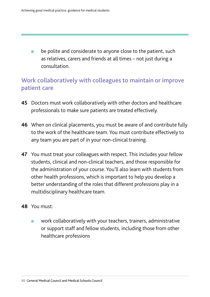$\blacksquare$  be polite and considerate to anyone close to the patient, such as relatives, carers and friends at all times – not just during a consultation.

### Work collaboratively with colleagues to maintain or improve patient care

- **45** Doctors must work collaboratively with other doctors and healthcare professionals to make sure patients are treated effectively.
- **46** When on clinical placements, you must be aware of and contribute fully to the work of the healthcare team. You must contribute effectively to any team you are part of in your non-clinical training.
- **47** You must treat your colleagues with respect. This includes your fellow students, clinical and non-clinical teachers, and those responsible for the administration of your course. You'll also learn with students from other health professions, which is important to help you develop a better understanding of the roles that different professions play in a multidisciplinary healthcare team.
- **48** You must:
	- <sup>n</sup> work collaboratively with your teachers, trainers, administrative or support staff and fellow students, including those from other healthcare professions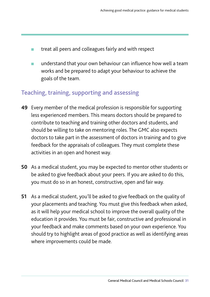- treat all peers and colleagues fairly and with respect
- understand that your own behaviour can influence how well a team works and be prepared to adapt your behaviour to achieve the goals of the team.

### Teaching, training, supporting and assessing

- **49** Every member of the medical profession is responsible for supporting less experienced members. This means doctors should be prepared to contribute to teaching and training other doctors and students, and should be willing to take on mentoring roles. The GMC also expects doctors to take part in the assessment of doctors in training and to give feedback for the appraisals of colleagues. They must complete these activities in an open and honest way.
- **50** As a medical student, you may be expected to mentor other students or be asked to give feedback about your peers. If you are asked to do this, you must do so in an honest, constructive, open and fair way.
- **51** As a medical student, you'll be asked to give feedback on the quality of your placements and teaching. You must give this feedback when asked, as it will help your medical school to improve the overall quality of the education it provides. You must be fair, constructive and professional in your feedback and make comments based on your own experience. You should try to highlight areas of good practice as well as identifying areas where improvements could be made.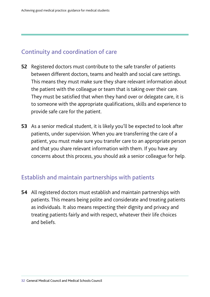#### Continuity and coordination of care

- **52** Registered doctors must contribute to the safe transfer of patients between different doctors, teams and health and social care settings. This means they must make sure they share relevant information about the patient with the colleague or team that is taking over their care. They must be satisfied that when they hand over or delegate care, it is to someone with the appropriate qualifications, skills and experience to provide safe care for the patient.
- **53** As a senior medical student, it is likely you'll be expected to look after patients, under supervision. When you are transferring the care of a patient, you must make sure you transfer care to an appropriate person and that you share relevant information with them. If you have any concerns about this process, you should ask a senior colleague for help.

#### Establish and maintain partnerships with patients

**54** All registered doctors must establish and maintain partnerships with patients. This means being polite and considerate and treating patients as individuals. It also means respecting their dignity and privacy and treating patients fairly and with respect, whatever their life choices and beliefs.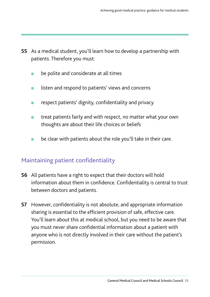- **55** As a medical student, you'll learn how to develop a partnership with patients. Therefore you must:
	- $\blacksquare$  be polite and considerate at all times
	- listen and respond to patients' views and concerns
	- respect patients' dignity, confidentiality and privacy
	- n treat patients fairly and with respect, no matter what your own thoughts are about their life choices or beliefs
	- $\blacksquare$  be clear with patients about the role you'll take in their care.

#### Maintaining patient confidentiality

- **56** All patients have a right to expect that their doctors will hold information about them in confidence. Confidentiality is central to trust between doctors and patients.
- **57** However, confidentiality is not absolute, and appropriate information sharing is essential to the efficient provision of safe, effective care. You'll learn about this at medical school, but you need to be aware that you must never share confidential information about a patient with anyone who is not directly involved in their care without the patient's permission.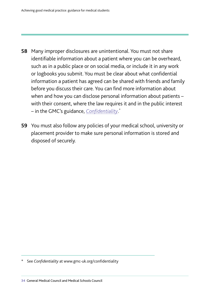- – in the GMC's guidance, *[Confdentiality](http://www.gmc-uk.org/confidentiality)*. \* **58** Many improper disclosures are unintentional. You must not share identifable information about a patient where you can be overheard, such as in a public place or on social media, or include it in any work or logbooks you submit. You must be clear about what confdential information a patient has agreed can be shared with friends and family before you discuss their care. You can find more information about when and how you can disclose personal information about patients – with their consent, where the law requires it and in the public interest
- **59** You must also follow any policies of your medical school, university or placement provider to make sure personal information is stored and disposed of securely.

See *Confidentiality* at www.gmc-uk.org/confidentiality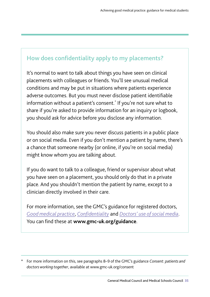## How does confidentiality apply to my placements?

It's normal to want to talk about things you have seen on clinical placements with colleagues or friends. You'll see unusual medical conditions and may be put in situations where patients experience adverse outcomes. But you must never disclose patient identifable information without a patient's consent.\* If you're not sure what to share if you're asked to provide information for an inquiry or logbook, you should ask for advice before you disclose any information.

You should also make sure you never discuss patients in a public place or on social media. Even if you don't mention a patient by name, there's a chance that someone nearby (or online, if you're on social media) might know whom you are talking about.

If you do want to talk to a colleague, friend or supervisor about what you have seen on a placement, you should only do that in a private place. And you shouldn't mention the patient by name, except to a clinician directly involved in their care.

For more information, see the GMC's guidance for registered doctors, *[Good medical practice](http://www.gmc-uk.org/gmp)*, *[Confdentiality](http://www.gmc-uk.org/confidentiality)* and *[Doctors' use of social media](http://www.gmc-uk.org/ethical-guidance/ethical-guidance-for-doctors/doctors-use-of-social-media)*. You can find these at [www.gmc-uk.org/guidance](http://www.gmc-uk.org/guidance).

<sup>\*</sup> For more information on this, see paragraphs 8–9 of the GMC's guidance *[Consent: patients and](http://www.gmc-uk.org/consent)  [doctors working together](http://www.gmc-uk.org/consent)*, available at [www.gmc-uk.org/consent](http://www.gmc-uk.org/mentalhealth)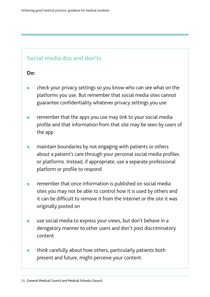#### Social media dos and don'ts

#### **Do:**

- <sup>n</sup> check your privacy settings so you know who can see what on the platforms you use. But remember that social media sites cannot guarantee confidentiality whatever privacy settings you use
- remember that the apps you use may link to your social media profle and that information from that site may be seen by users of the app
- $\blacksquare$  maintain boundaries by not engaging with patients or others about a patient's care through your personal social media profiles or platforms. Instead, if appropriate, use a separate professional platform or profile to respond
- remember that once information is published on social media sites you may not be able to control how it is used by others and it can be diffcult to remove it from the internet or the site it was originally posted on
- **n** use social media to express your views, but don't behave in a derogatory manner to other users and don't post discriminatory content
- $\blacksquare$  think carefully about how others, particularly patients both present and future, might perceive your content.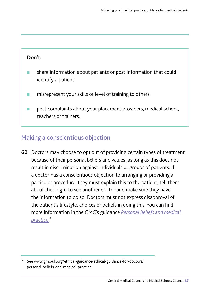#### **Don't:**

- share information about patients or post information that could identify a patient
- n misrepresent your skills or level of training to others
- **n** post complaints about your placement providers, medical school, teachers or trainers.

### Making a conscientious objection

**60** Doctors may choose to opt out of providing certain types of treatment because of their personal beliefs and values, as long as this does not result in discrimination against individuals or groups of patients. If a doctor has a conscientious objection to arranging or providing a particular procedure, they must explain this to the patient, tell them about their right to see another doctor and make sure they have the information to do so. Doctors must not express disapproval of the patient's lifestyle, choices or beliefs in doing this. You can find more information in the GMC's guidance *[Personal beliefs and medical](https://www.gmc-uk.org/ethical-guidance/ethical-guidance-for-doctors/personal-beliefs-and-medical-practice)  [practice](https://www.gmc-uk.org/ethical-guidance/ethical-guidance-for-doctors/personal-beliefs-and-medical-practice)*. \*

See <www.gmc-uk.org/ethical-guidance/ethical-guidance-for-doctors>/ personal-beliefs-and-medical-practice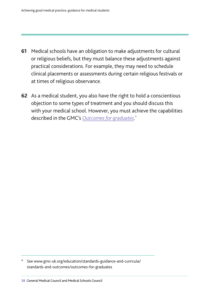- **61** Medical schools have an obligation to make adjustments for cultural or religious beliefs, but they must balance these adjustments against practical considerations. For example, they may need to schedule clinical placements or assessments during certain religious festivals or at times of religious observance.
- **62** As a medical student, you also have the right to hold a conscientious objection to some types of treatment and you should discuss this with your medical school. However, you must achieve the capabilities described in the GMC's *[Outcomes for graduates](http://www.gmc-uk.org/education/standards-guidance-and-curricula/standards-and-outcomes/outcomes-for-graduates)*. \*

See [www.gmc-uk.org/education/standards-guidance-and-curricula/](www.gmc-uk.org/education/standards-guidance-and-curricula) standards-and-outcomes/outcomes-for-graduates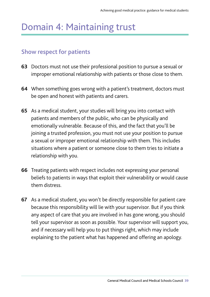# Domain 4: Maintaining trust

#### Show respect for patients

- **63** Doctors must not use their professional position to pursue a sexual or improper emotional relationship with patients or those close to them.
- **64** When something goes wrong with a patient's treatment, doctors must be open and honest with patients and carers.
- **65** As a medical student, your studies will bring you into contact with patients and members of the public, who can be physically and emotionally vulnerable. Because of this, and the fact that you'll be joining a trusted profession, you must not use your position to pursue a sexual or improper emotional relationship with them. This includes situations where a patient or someone close to them tries to initiate a relationship with you.
- **66** Treating patients with respect includes not expressing your personal beliefs to patients in ways that exploit their vulnerability or would cause them distress.
- **67** As a medical student, you won't be directly responsible for patient care because this responsibility will lie with your supervisor. But if you think any aspect of care that you are involved in has gone wrong, you should tell your supervisor as soon as possible. Your supervisor will support you, and if necessary will help you to put things right, which may include explaining to the patient what has happened and offering an apology.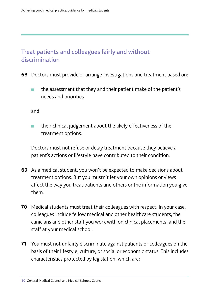# Treat patients and colleagues fairly and without discrimination

- **68** Doctors must provide or arrange investigations and treatment based on:
	- **n** the assessment that they and their patient make of the patient's needs and priorities

and

 $\blacksquare$  their clinical judgement about the likely effectiveness of the treatment options.

Doctors must not refuse or delay treatment because they believe a patient's actions or lifestyle have contributed to their condition.

- **69** As a medical student, you won't be expected to make decisions about treatment options. But you mustn't let your own opinions or views affect the way you treat patients and others or the information you give them.
- **70** Medical students must treat their colleagues with respect. In your case, colleagues include fellow medical and other healthcare students, the clinicians and other staff you work with on clinical placements, and the staff at your medical school.
- **71** You must not unfairly discriminate against patients or colleagues on the basis of their lifestyle, culture, or social or economic status. This includes characteristics protected by legislation, which are: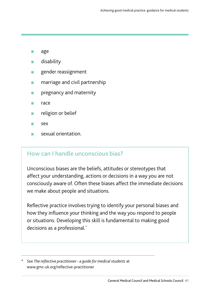- n age
- n disability
- gender reassignment
- marriage and civil partnership
- pregnancy and maternity
- race
- religion or belief
- sex
- <sup>n</sup> sexual orientation.

### How can I handle unconscious bias?

Unconscious biases are the beliefs, attitudes or stereotypes that affect your understanding, actions or decisions in a way you are not consciously aware of. Often these biases affect the immediate decisions we make about people and situations.

Reflective practice involves trying to identify your personal biases and how they infuence your thinking and the way you respond to people or situations. Developing this skill is fundamental to making good decisions as a professional*. \** 

See *The reflective practitioner - a quide for medical students* at [www.gmc-uk.org/refective-practitioner](www.gmc-uk.org/reflective-practitioner)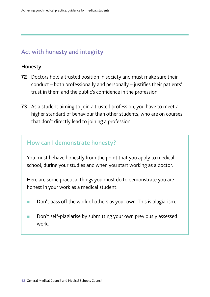# Act with honesty and integrity

#### **Honesty**

- **72** Doctors hold a trusted position in society and must make sure their conduct – both professionally and personally – justifes their patients' trust in them and the public's confdence in the profession.
- **73** As a student aiming to join a trusted profession, you have to meet a higher standard of behaviour than other students, who are on courses that don't directly lead to joining a profession.

#### How can I demonstrate honesty?

You must behave honestly from the point that you apply to medical school, during your studies and when you start working as a doctor.

Here are some practical things you must do to demonstrate you are honest in your work as a medical student.

- **n** Don't pass off the work of others as your own. This is plagiarism.
- × Don't self-plagiarise by submitting your own previously assessed work.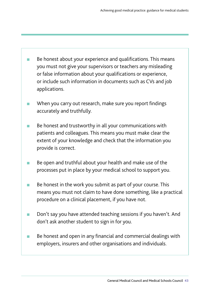- m. Be honest about your experience and qualifications. This means you must not give your supervisors or teachers any misleading or false information about your qualifications or experience, or include such information in documents such as CVs and job applications.
- When you carry out research, make sure you report findings accurately and truthfully.
- Be honest and trustworthy in all your communications with patients and colleagues. This means you must make clear the extent of your knowledge and check that the information you provide is correct.
- Be open and truthful about your health and make use of the processes put in place by your medical school to support you.
- m. Be honest in the work you submit as part of your course. This means you must not claim to have done something, like a practical procedure on a clinical placement, if you have not.
- **COL** Don't say you have attended teaching sessions if you haven't. And don't ask another student to sign in for you.
- Be honest and open in any financial and commercial dealings with employers, insurers and other organisations and individuals.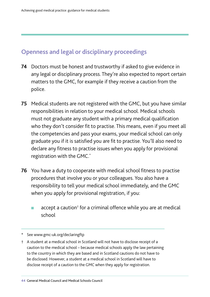# Openness and legal or disciplinary proceedings

- **74** Doctors must be honest and trustworthy if asked to give evidence in any legal or disciplinary process. They're also expected to report certain matters to the GMC, for example if they receive a caution from the police.
- **75** Medical students are not registered with the GMC, but you have similar responsibilities in relation to your medical school. Medical schools must not graduate any student with a primary medical qualifcation who they don't consider fit to practise. This means, even if you meet all the competencies and pass your exams, your medical school can only graduate you if it is satisfied you are fit to practise. You'll also need to declare any fitness to practise issues when you apply for provisional registration with the GMC.\*
- **76** You have a duty to cooperate with medical school fitness to practise procedures that involve you or your colleagues. You also have a responsibility to tell your medical school immediately, and the GMC when you apply for provisional registration, if you:
	- accept a caution<sup>†</sup> for a criminal offence while you are at medical school

\* See www.gmc-uk.org/declaringftp

† A student at a medical school in Scotland will not have to disclose receipt of a caution to the medical school – because medical schools apply the law pertaining to the country in which they are based and in Scotland cautions do not have to be disclosed. However, a student at a medical school in Scotland will have to disclose receipt of a caution to the GMC when they apply for registration.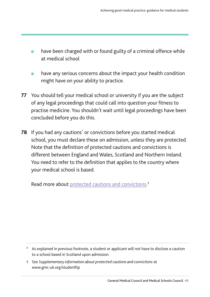- have been charged with or found guilty of a criminal offence while at medical school
- $\blacksquare$  have any serious concerns about the impact your health condition might have on your ability to practice.
- **77** You should tell your medical school or university if you are the subject of any legal proceedings that could call into question your fitness to practise medicine. You shouldn't wait until legal proceedings have been concluded before you do this.
- **78** If you had any cautions\* or convictions before you started medical school, you must declare these on admission, unless they are protected. Note that the defnition of protected cautions and convictions is different between England and Wales, Scotland and Northern Ireland. You need to refer to the definition that applies to the country where your medical school is based.

Read more about [protected cautions and convictions.](https://www.gmc-uk.org/education/standards-guidance-and-curricula/guidance/student-professionalism-and-ftp/protected-spent-cautions-and-convictions)<sup>†</sup>

<sup>\*</sup> As explained in previous footnote, a student or applicant will not have to disclose a caution to a school based in Scotland upon admission.

<sup>†</sup> See *Supplementary information about protected cautions and convictions* at <www.gmc-uk.org/studentftp>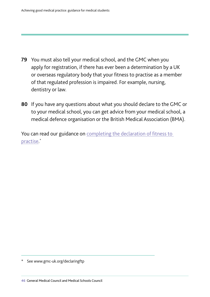- **79** You must also tell your medical school, and the GMC when you apply for registration, if there has ever been a determination by a UK or overseas regulatory body that your fitness to practise as a member of that regulated profession is impaired. For example, nursing, dentistry or law.
- **80** If you have any questions about what you should declare to the GMC or to your medical school, you can get advice from your medical school, a medical defence organisation or the British Medical Association (BMA).

You can read our guidance on completing the declaration of fitness to [practise.](http://www.gmc-uk.org/registration-and-licensing/join-the-register/before-you-apply/guide-on-completing-the-declaration-of-fitness-to-practise)

See www.gmc-uk.org/declaringftp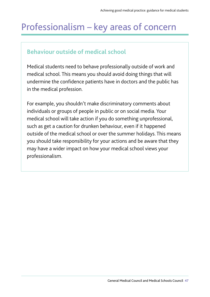# Professionalism – key areas of concern

### **Behaviour outside of medical school**

Medical students need to behave professionally outside of work and medical school. This means you should avoid doing things that will undermine the confidence patients have in doctors and the public has in the medical profession.

For example, you shouldn't make discriminatory comments about individuals or groups of people in public or on social media. Your medical school will take action if you do something unprofessional, such as get a caution for drunken behaviour, even if it happened outside of the medical school or over the summer holidays. This means you should take responsibility for your actions and be aware that they may have a wider impact on how your medical school views your professionalism.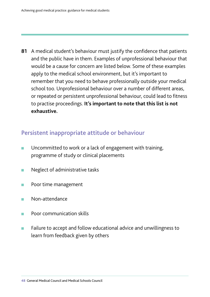81 A medical student's behaviour must justify the confidence that patients and the public have in them. Examples of unprofessional behaviour that would be a cause for concern are listed below. Some of these examples apply to the medical school environment, but it's important to remember that you need to behave professionally outside your medical school too. Unprofessional behaviour over a number of different areas, or repeated or persistent unprofessional behaviour, could lead to fitness to practise proceedings. **It's important to note that this list is not exhaustive.** 

#### Persistent inappropriate attitude or behaviour

- Uncommitted to work or a lack of engagement with training, programme of study or clinical placements
- $\blacksquare$  Neglect of administrative tasks
- **n** Poor time management
- n Non-attendance
- Poor communication skills
- Failure to accept and follow educational advice and unwillingness to learn from feedback given by others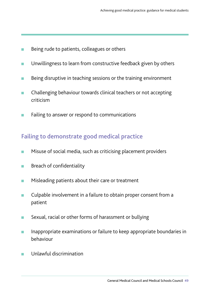- Being rude to patients, colleagues or others
- **n** Unwillingness to learn from constructive feedback given by others
- Being disruptive in teaching sessions or the training environment
- **n** Challenging behaviour towards clinical teachers or not accepting criticism
- **n** Failing to answer or respond to communications

# Failing to demonstrate good medical practice

- Misuse of social media, such as criticising placement providers
- **n** Breach of confidentiality
- **n** Misleading patients about their care or treatment
- **n** Culpable involvement in a failure to obtain proper consent from a patient
- **n** Sexual, racial or other forms of harassment or bullying
- **n** Inappropriate examinations or failure to keep appropriate boundaries in behaviour
- Unlawful discrimination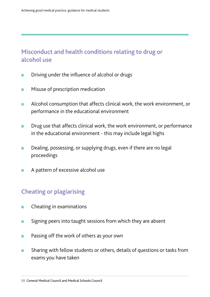## Misconduct and health conditions relating to drug or alcohol use

- **n** Driving under the influence of alcohol or drugs
- **n** Misuse of prescription medication
- **n** Alcohol consumption that affects clinical work, the work environment, or performance in the educational environment
- **n** Drug use that affects clinical work, the work environment, or performance in the educational environment - this may include legal highs
- **n** Dealing, possessing, or supplying drugs, even if there are no legal proceedings
- **n** A pattern of excessive alcohol use

#### Cheating or plagiarising

- Cheating in examinations
- **n** Signing peers into taught sessions from which they are absent
- **n** Passing off the work of others as your own
- Sharing with fellow students or others, details of questions or tasks from exams you have taken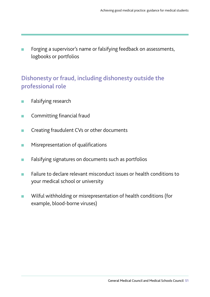Forging a supervisor's name or falsifying feedback on assessments, logbooks or portfolios

### Dishonesty or fraud, including dishonesty outside the professional role

- **n** Falsifying research
- **n** Committing financial fraud
- Creating fraudulent CVs or other documents
- **n** Misrepresentation of qualifications
- **n** Falsifying signatures on documents such as portfolios
- <sup>n</sup> Failure to declare relevant misconduct issues or health conditions to your medical school or university
- **n** Wilful withholding or misrepresentation of health conditions (for example, blood-borne viruses)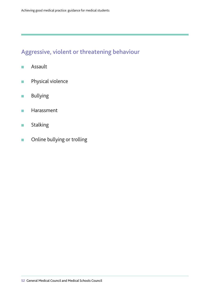# Aggressive, violent or threatening behaviour

- <sup>n</sup> Assault
- **n** Physical violence
- **n** Bullying
- **n** Harassment
- **n** Stalking
- **n** Online bullying or trolling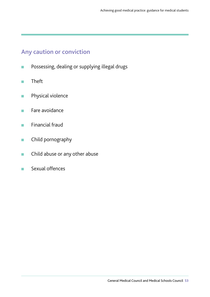### Any caution or conviction

- **n** Possessing, dealing or supplying illegal drugs
- n Theft
- **n** Physical violence
- **n** Fare avoidance
- **n** Financial fraud
- **n** Child pornography
- **n** Child abuse or any other abuse
- <sup>n</sup> Sexual offences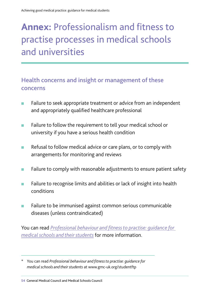# **Annex:** Professionalism and fitness to practise processes in medical schools and universities

### Health concerns and insight or management of these concerns

- **n** Failure to seek appropriate treatment or advice from an independent and appropriately qualified healthcare professional
- Failure to follow the requirement to tell your medical school or university if you have a serious health condition
- $\blacksquare$  Refusal to follow medical advice or care plans, or to comply with arrangements for monitoring and reviews
- **n** Failure to comply with reasonable adjustments to ensure patient safety
- Failure to recognise limits and abilities or lack of insight into health conditions
- **n** Failure to be immunised against common serious communicable diseases (unless contraindicated)

You can read *Professional behaviour and fitness to practise: quidance for [medical schools and their students](http://www.gmc-uk.org/studentftp)* for more information.

You can read *Professional behaviour and fitness to practise: quidance for medical schools and their students* at<www.gmc-uk.org/studentftp>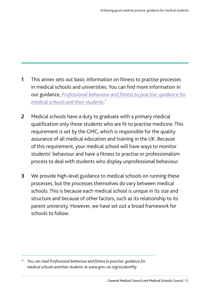- **1** This annex sets out basic information on fitness to practise processes in medical schools and universities. You can find more information in our guidance, *[Professional behaviour and ftness to practise: guidance for](http://www.gmc-uk.org/studentftp)  [medical schools and their students](http://www.gmc-uk.org/studentftp)*. \*
- **2** Medical schools have a duty to graduate with a primary medical qualification only those students who are fit to practise medicine. This requirement is set by the GMC, which is responsible for the quality assurance of all medical education and training in the UK. Because of this requirement, your medical school will have ways to monitor students' behaviour and have a fitness to practise or professionalism process to deal with students who display unprofessional behaviour.
- **3** We provide high-level guidance to medical schools on running these processes, but the processes themselves do vary between medical schools. This is because each medical school is unique in its size and structure and because of other factors, such as its relationship to its parent university. However, we have set out a broad framework for schools to follow.

You can read *Professional behaviour and fitness to practise: quidance for medical schools and their students* at<www.gmc-uk.org/studentftp>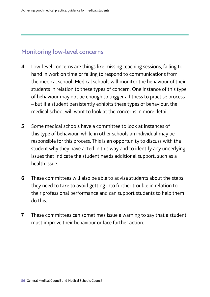#### Monitoring low-level concerns

- **4** Low-level concerns are things like missing teaching sessions, failing to hand in work on time or failing to respond to communications from the medical school. Medical schools will monitor the behaviour of their students in relation to these types of concern. One instance of this type of behaviour may not be enough to trigger a fitness to practise process – but if a student persistently exhibits these types of behaviour, the medical school will want to look at the concerns in more detail
- **5** Some medical schools have a committee to look at instances of this type of behaviour, while in other schools an individual may be responsible for this process. This is an opportunity to discuss with the student why they have acted in this way and to identify any underlying issues that indicate the student needs additional support, such as a health issue.
- **6** These committees will also be able to advise students about the steps they need to take to avoid getting into further trouble in relation to their professional performance and can support students to help them do this.
- **7** These committees can sometimes issue a warning to say that a student must improve their behaviour or face further action.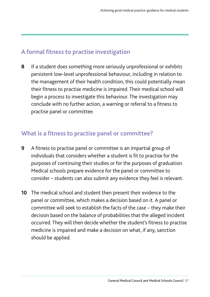#### A formal fitness to practise investigation

**8** If a student does something more seriously unprofessional or exhibits persistent low-level unprofessional behaviour, including in relation to the management of their health condition, this could potentially mean their ftness to practise medicine is impaired. Their medical school will begin a process to investigate this behaviour. The investigation may conclude with no further action, a warning or referral to a fitness to practise panel or committee.

#### What is a fitness to practise panel or committee?

- **9** A ftness to practise panel or committee is an impartial group of individuals that considers whether a student is fit to practise for the purposes of continuing their studies or for the purposes of graduation. Medical schools prepare evidence for the panel or committee to consider – students can also submit any evidence they feel is relevant.
- **10** The medical school and student then present their evidence to the panel or committee, which makes a decision based on it. A panel or committee will seek to establish the facts of the case – they make their decision based on the balance of probabilities that the alleged incident occurred. They will then decide whether the student's fitness to practise medicine is impaired and make a decision on what, if any, sanction should be applied.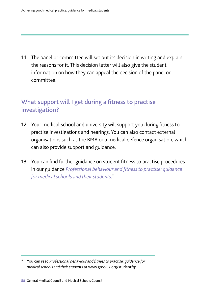**11** The panel or committee will set out its decision in writing and explain the reasons for it. This decision letter will also give the student information on how they can appeal the decision of the panel or committee.

## What support will I get during a fitness to practise investigation?

- **12** Your medical school and university will support you during ftness to practise investigations and hearings. You can also contact external organisations such as the BMA or a medical defence organisation, which can also provide support and guidance.
- **13** You can find further guidance on student fitness to practise procedures in our guidance *[Professional behaviour and ftness to practise: guidance](http://www.gmc-uk.org/studentftp)  [for medical schools and their students](http://www.gmc-uk.org/studentftp)*. \*

You can read *Professional behaviour and fitness to practise: quidance for medical schools and their students* at<www.gmc-uk.org/studentftp>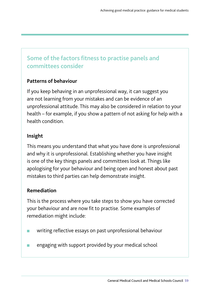# Some of the factors fitness to practise panels and committees consider

#### **Patterns of behaviour**

If you keep behaving in an unprofessional way, it can suggest you are not learning from your mistakes and can be evidence of an unprofessional attitude. This may also be considered in relation to your health – for example, if you show a pattern of not asking for help with a health condition.

#### **Insight**

This means you understand that what you have done is unprofessional and why it is unprofessional. Establishing whether you have insight is one of the key things panels and committees look at. Things like apologising for your behaviour and being open and honest about past mistakes to third parties can help demonstrate insight.

#### **Remediation**

This is the process where you take steps to show you have corrected your behaviour and are now fit to practise. Some examples of remediation might include:

- writing reflective essays on past unprofessional behaviour
- **n** engaging with support provided by your medical school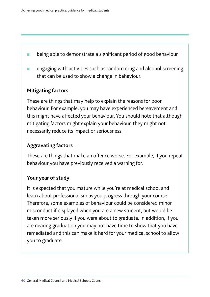- **n** being able to demonstrate a significant period of good behaviour
- engaging with activities such as random drug and alcohol screening that can be used to show a change in behaviour.

#### **Mitigating factors**

These are things that may help to explain the reasons for poor behaviour. For example, you may have experienced bereavement and this might have affected your behaviour. You should note that although mitigating factors might explain your behaviour, they might not necessarily reduce its impact or seriousness.

#### **Aggravating factors**

These are things that make an offence worse. For example, if you repeat behaviour you have previously received a warning for.

#### **Your year of study**

It is expected that you mature while you're at medical school and learn about professionalism as you progress through your course. Therefore, some examples of behaviour could be considered minor misconduct if displayed when you are a new student, but would be taken more seriously if you were about to graduate. In addition, if you are nearing graduation you may not have time to show that you have remediated and this can make it hard for your medical school to allow you to graduate.